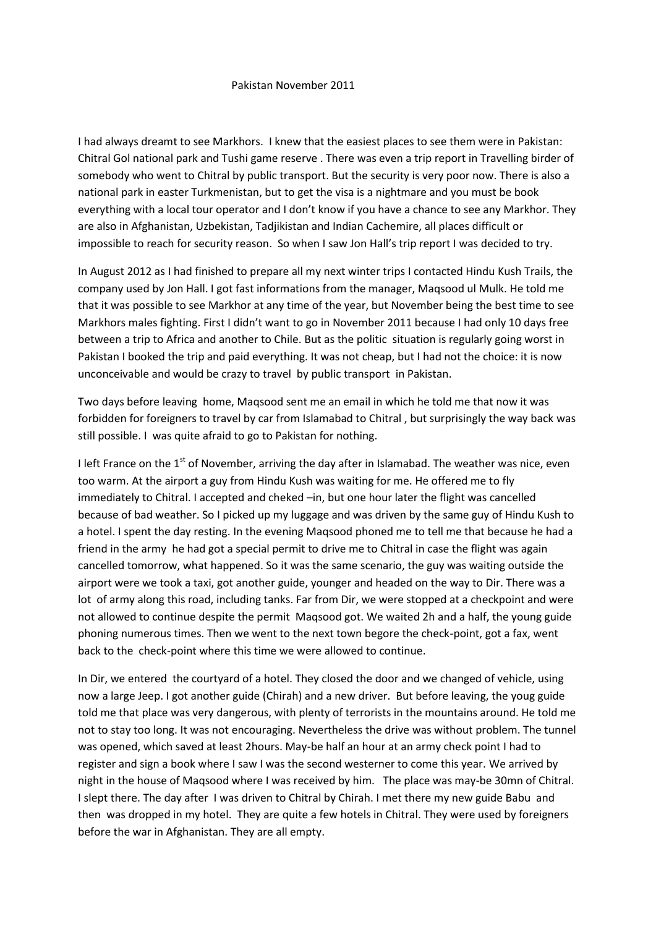## Pakistan November 2011

I had always dreamt to see Markhors. I knew that the easiest places to see them were in Pakistan: Chitral Gol national park and Tushi game reserve . There was even a trip report in Travelling birder of somebody who went to Chitral by public transport. But the security is very poor now. There is also a national park in easter Turkmenistan, but to get the visa is a nightmare and you must be book everything with a local tour operator and I don't know if you have a chance to see any Markhor. They are also in Afghanistan, Uzbekistan, Tadjikistan and Indian Cachemire, all places difficult or impossible to reach for security reason. So when I saw Jon Hall's trip report I was decided to try.

In August 2012 as I had finished to prepare all my next winter trips I contacted Hindu Kush Trails, the company used by Jon Hall. I got fast informations from the manager, Maqsood ul Mulk. He told me that it was possible to see Markhor at any time of the year, but November being the best time to see Markhors males fighting. First I didn't want to go in November 2011 because I had only 10 days free between a trip to Africa and another to Chile. But as the politic situation is regularly going worst in Pakistan I booked the trip and paid everything. It was not cheap, but I had not the choice: it is now unconceivable and would be crazy to travel by public transport in Pakistan.

Two days before leaving home, Maqsood sent me an email in which he told me that now it was forbidden for foreigners to travel by car from Islamabad to Chitral , but surprisingly the way back was still possible. I was quite afraid to go to Pakistan for nothing.

I left France on the  $1<sup>st</sup>$  of November, arriving the day after in Islamabad. The weather was nice, even too warm. At the airport a guy from Hindu Kush was waiting for me. He offered me to fly immediately to Chitral. I accepted and cheked –in, but one hour later the flight was cancelled because of bad weather. So I picked up my luggage and was driven by the same guy of Hindu Kush to a hotel. I spent the day resting. In the evening Maqsood phoned me to tell me that because he had a friend in the army he had got a special permit to drive me to Chitral in case the flight was again cancelled tomorrow, what happened. So it was the same scenario, the guy was waiting outside the airport were we took a taxi, got another guide, younger and headed on the way to Dir. There was a lot of army along this road, including tanks. Far from Dir, we were stopped at a checkpoint and were not allowed to continue despite the permit Maqsood got. We waited 2h and a half, the young guide phoning numerous times. Then we went to the next town begore the check-point, got a fax, went back to the check-point where this time we were allowed to continue.

In Dir, we entered the courtyard of a hotel. They closed the door and we changed of vehicle, using now a large Jeep. I got another guide (Chirah) and a new driver. But before leaving, the youg guide told me that place was very dangerous, with plenty of terrorists in the mountains around. He told me not to stay too long. It was not encouraging. Nevertheless the drive was without problem. The tunnel was opened, which saved at least 2hours. May-be half an hour at an army check point I had to register and sign a book where I saw I was the second westerner to come this year. We arrived by night in the house of Maqsood where I was received by him. The place was may-be 30mn of Chitral. I slept there. The day after I was driven to Chitral by Chirah. I met there my new guide Babu and then was dropped in my hotel. They are quite a few hotels in Chitral. They were used by foreigners before the war in Afghanistan. They are all empty.